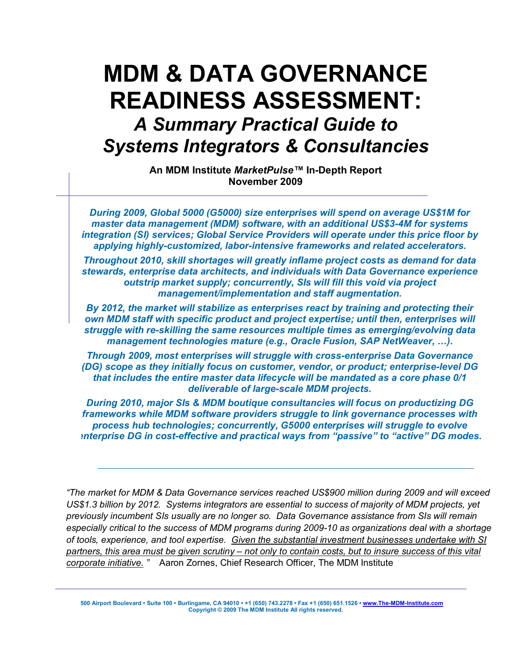# **MDM & DATA GOVERNANCE READINESS ASSESSMENT:**  *A Summary Practical Guide to Systems Integrators & Consultancies*

**An MDM Institute** *MarketPulseô* **In-Depth Report November 2009**

*During 2009, Global 5000 (G5000) size enterprises will spend on average US\$1M for master data management (MDM) software, with an additional US\$3-4M for systems integration (SI) services; Global Service Providers will operate under this price floor by applying highly-customized, labor-intensive frameworks and related accelerators.* 

*Throughout 2010, skill shortages will greatly inflame project costs as demand for data stewards, enterprise data architects, and individuals with Data Governance experience outstrip market supply; concurrently, SIs will fill this void via project management/implementation and staff augmentation.* 

*By 2012, the market will stabilize as enterprises react by training and protecting their own MDM staff with specific product and project expertise; until then, enterprises will struggle with re-skilling the same resources multiple times as emerging/evolving data management technologies mature (e.g., Oracle Fusion, SAP NetWeaver, ...).* 

*Through 2009, most enterprises will struggle with cross-enterprise Data Governance (DG) scope as they initially focus on customer, vendor, or product; enterprise-level DG that includes the entire master data lifecycle will be mandated as a core phase 0/1 deliverable of large-scale MDM projects.* 

*During 2010, major SIs & MDM boutique consultancies will focus on productizing DG frameworks while MDM software providers struggle to link governance processes with process hub technologies; concurrently, G5000 enterprises will struggle to evolve enterprise DG in cost-effective and practical ways from "passive" to "active" DG modes.* 

*ìThe market for MDM & Data Governance services reached US\$900 million during 2009 and will exceed US\$1.3 billion by 2012. Systems integrators are essential to success of majority of MDM projects, yet previously incumbent SIs usually are no longer so. Data Governance assistance from SIs will remain especially critical to the success of MDM programs during 2009-10 as organizations deal with a shortage of tools, experience, and tool expertise. Given the substantial investment businesses undertake with SI partners, this area must be given scrutiny – not only to contain costs, but to insure success of this vital corporate initiative. î* Aaron Zornes, Chief Research Officer, The MDM Institute

500 Airport Boulevard • Suite 100 • Burlingame, CA 94010 • +1 (650) 743.2278 • Fax +1 (650) 651.1526 • <u>www.The-MDM-Institute.com</u><br>Copyright © 2009 The MDM Institute All rights reserved.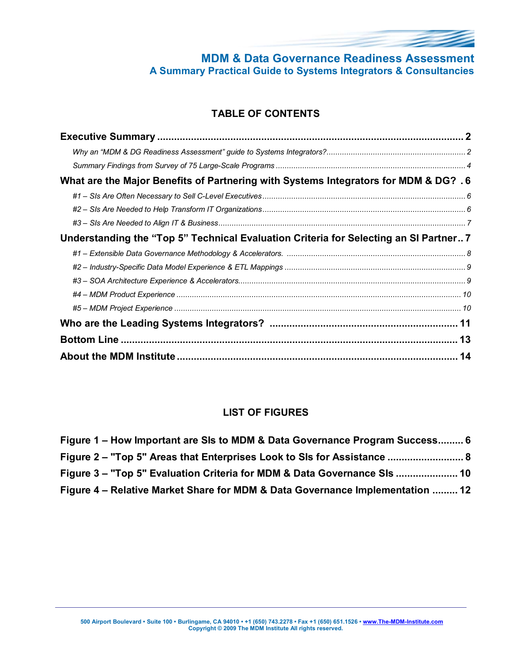# I

#### **MDM & Data Governance Readiness Assessment A Summary Practical Guide to Systems Integrators & Consultancies**

## **TABLE OF CONTENTS**

| What are the Major Benefits of Partnering with Systems Integrators for MDM & DG? . 6  |  |
|---------------------------------------------------------------------------------------|--|
|                                                                                       |  |
|                                                                                       |  |
|                                                                                       |  |
| Understanding the "Top 5" Technical Evaluation Criteria for Selecting an SI Partner 7 |  |
|                                                                                       |  |
|                                                                                       |  |
|                                                                                       |  |
|                                                                                       |  |
|                                                                                       |  |
|                                                                                       |  |
|                                                                                       |  |
|                                                                                       |  |

#### **LIST OF FIGURES**

| Figure 1 – How Important are SIs to MDM & Data Governance Program Success 6   |  |
|-------------------------------------------------------------------------------|--|
| Figure 2 – "Top 5" Areas that Enterprises Look to SIs for Assistance  8       |  |
| Figure 3 - "Top 5" Evaluation Criteria for MDM & Data Governance SIs  10      |  |
| Figure 4 – Relative Market Share for MDM & Data Governance Implementation  12 |  |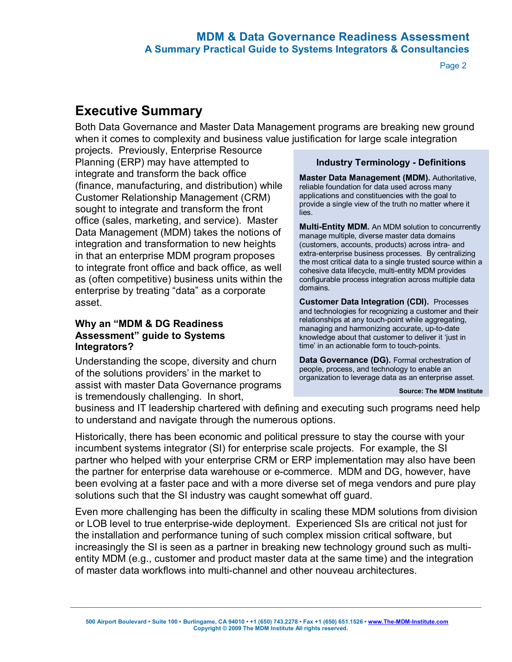Page 2

# **Executive Summary**

Both Data Governance and Master Data Management programs are breaking new ground when it comes to complexity and business value justification for large scale integration

projects. Previously, Enterprise Resource Planning (ERP) may have attempted to integrate and transform the back office (finance, manufacturing, and distribution) while Customer Relationship Management (CRM) sought to integrate and transform the front office (sales, marketing, and service). Master Data Management (MDM) takes the notions of integration and transformation to new heights in that an enterprise MDM program proposes to integrate front office and back office, as well as (often competitive) business units within the enterprise by treating "data" as a corporate asset.

#### **Why an "MDM & DG Readiness" Assessment**" guide to Systems **Integrators?**

Understanding the scope, diversity and churn of the solutions providers' in the market to assist with master Data Governance programs is tremendously challenging. In short,

#### **Industry Terminology - Definitions**

**Master Data Management (MDM).** Authoritative, reliable foundation for data used across many applications and constituencies with the goal to provide a single view of the truth no matter where it lies.

**Multi-Entity MDM.** An MDM solution to concurrently manage multiple, diverse master data domains (customers, accounts, products) across intra- and extra-enterprise business processes. By centralizing the most critical data to a single trusted source within a cohesive data lifecycle, multi-entity MDM provides configurable process integration across multiple data domains.

**Customer Data Integration (CDI).** Processes and technologies for recognizing a customer and their relationships at any touch-point while aggregating, managing and harmonizing accurate, up-to-date knowledge about that customer to deliver it 'just in time' in an actionable form to touch-points.

**Data Governance (DG).** Formal orchestration of people, process, and technology to enable an organization to leverage data as an enterprise asset.

 **Source: The MDM Institute**

business and IT leadership chartered with defining and executing such programs need help to understand and navigate through the numerous options.

Historically, there has been economic and political pressure to stay the course with your incumbent systems integrator (SI) for enterprise scale projects. For example, the SI partner who helped with your enterprise CRM or ERP implementation may also have been the partner for enterprise data warehouse or e-commerce. MDM and DG, however, have been evolving at a faster pace and with a more diverse set of mega vendors and pure play solutions such that the SI industry was caught somewhat off guard.

Even more challenging has been the difficulty in scaling these MDM solutions from division or LOB level to true enterprise-wide deployment. Experienced SIs are critical not just for the installation and performance tuning of such complex mission critical software, but increasingly the SI is seen as a partner in breaking new technology ground such as multientity MDM (e.g., customer and product master data at the same time) and the integration of master data workflows into multi-channel and other nouveau architectures.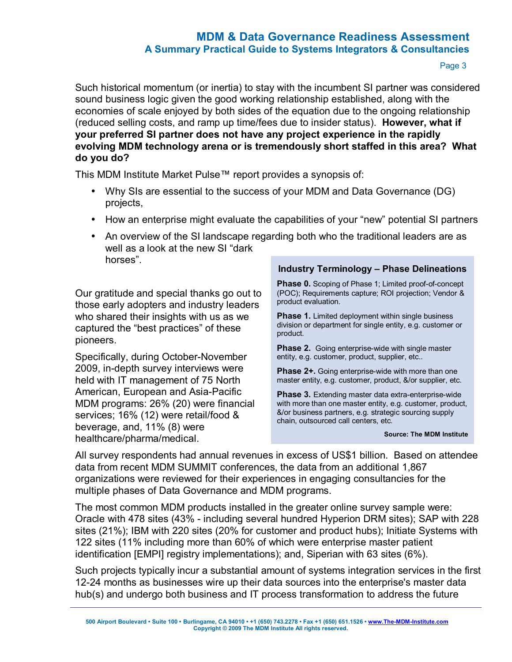Page 3

Such historical momentum (or inertia) to stay with the incumbent SI partner was considered sound business logic given the good working relationship established, along with the economies of scale enjoyed by both sides of the equation due to the ongoing relationship (reduced selling costs, and ramp up time/fees due to insider status). **However, what if your preferred SI partner does not have any project experience in the rapidly evolving MDM technology arena or is tremendously short staffed in this area? What do you do?**

This MDM Institute Market Pulse™ report provides a synopsis of:

- Why SIs are essential to the success of your MDM and Data Governance (DG) projects,
- How an enterprise might evaluate the capabilities of your "new" potential SI partners
- An overview of the SI landscape regarding both who the traditional leaders are as well as a look at the new SI "dark" horses".

Our gratitude and special thanks go out to those early adopters and industry leaders who shared their insights with us as we captured the "best practices" of these pioneers.

Specifically, during October-November 2009, in-depth survey interviews were held with IT management of 75 North American, European and Asia-Pacific MDM programs: 26% (20) were financial services; 16% (12) were retail/food & beverage, and, 11% (8) were healthcare/pharma/medical.

#### **Industry Terminology – Phase Delineations**

**Phase 0.** Scoping of Phase 1; Limited proof-of-concept (POC); Requirements capture; ROI projection; Vendor & product evaluation.

**Phase 1.** Limited deployment within single business division or department for single entity, e.g. customer or product.

**Phase 2.** Going enterprise-wide with single master entity, e.g. customer, product, supplier, etc..

**Phase 2+.** Going enterprise-wide with more than one master entity, e.g. customer, product, &/or supplier, etc.

**Phase 3.** Extending master data extra-enterprise-wide with more than one master entity, e.g. customer, product, &/or business partners, e.g. strategic sourcing supply chain, outsourced call centers, etc.

#### **Source: The MDM Institute**

All survey respondents had annual revenues in excess of US\$1 billion. Based on attendee data from recent MDM SUMMIT conferences, the data from an additional 1,867 organizations were reviewed for their experiences in engaging consultancies for the multiple phases of Data Governance and MDM programs.

The most common MDM products installed in the greater online survey sample were: Oracle with 478 sites (43% - including several hundred Hyperion DRM sites); SAP with 228 sites (21%); IBM with 220 sites (20% for customer and product hubs); Initiate Systems with 122 sites (11% including more than 60% of which were enterprise master patient identification [EMPI] registry implementations); and, Siperian with 63 sites (6%).

Such projects typically incur a substantial amount of systems integration services in the first 12-24 months as businesses wire up their data sources into the enterprise's master data hub(s) and undergo both business and IT process transformation to address the future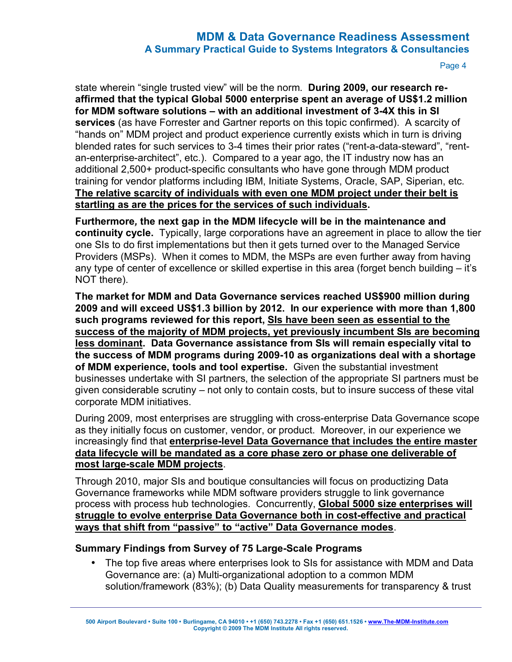Page 4

state wherein "single trusted view" will be the norm. **During 2009, our research reaffirmed that the typical Global 5000 enterprise spent an average of US\$1.2 million**  for MDM software solutions – with an additional investment of 3-4X this in SI **services** (as have Forrester and Gartner reports on this topic confirmed). A scarcity of "hands on" MDM project and product experience currently exists which in turn is driving blended rates for such services to 3-4 times their prior rates ("rent-a-data-steward", "rentan-enterprise-architectî, etc.). Compared to a year ago, the IT industry now has an additional 2,500+ product-specific consultants who have gone through MDM product training for vendor platforms including IBM, Initiate Systems, Oracle, SAP, Siperian, etc. **The relative scarcity of individuals with even one MDM project under their belt is startling as are the prices for the services of such individuals.** 

**Furthermore***,* **the next gap in the MDM lifecycle will be in the maintenance and continuity cycle.** Typically, large corporations have an agreement in place to allow the tier one SIs to do first implementations but then it gets turned over to the Managed Service Providers (MSPs). When it comes to MDM, the MSPs are even further away from having any type of center of excellence or skilled expertise in this area (forget bench building  $-$  it's NOT there).

**The market for MDM and Data Governance services reached US\$900 million during 2009 and will exceed US\$1.3 billion by 2012. In our experience with more than 1,800 such programs reviewed for this report, SIs have been seen as essential to the success of the majority of MDM projects, yet previously incumbent SIs are becoming less dominant. Data Governance assistance from SIs will remain especially vital to the success of MDM programs during 2009-10 as organizations deal with a shortage of MDM experience, tools and tool expertise.** Given the substantial investment businesses undertake with SI partners, the selection of the appropriate SI partners must be given considerable scrutiny  $-$  not only to contain costs, but to insure success of these vital corporate MDM initiatives.

During 2009, most enterprises are struggling with cross-enterprise Data Governance scope as they initially focus on customer, vendor, or product. Moreover, in our experience we increasingly find that **enterprise-level Data Governance that includes the entire master data lifecycle will be mandated as a core phase zero or phase one deliverable of most large-scale MDM projects**.

Through 2010, major SIs and boutique consultancies will focus on productizing Data Governance frameworks while MDM software providers struggle to link governance process with process hub technologies. Concurrently, **Global 5000 size enterprises will struggle to evolve enterprise Data Governance both in cost-effective and practical**  ways that shift from "passive" to "active" Data Governance modes.

#### **Summary Findings from Survey of 75 Large-Scale Programs**

• The top five areas where enterprises look to SIs for assistance with MDM and Data Governance are: (a) Multi-organizational adoption to a common MDM solution/framework (83%); (b) Data Quality measurements for transparency & trust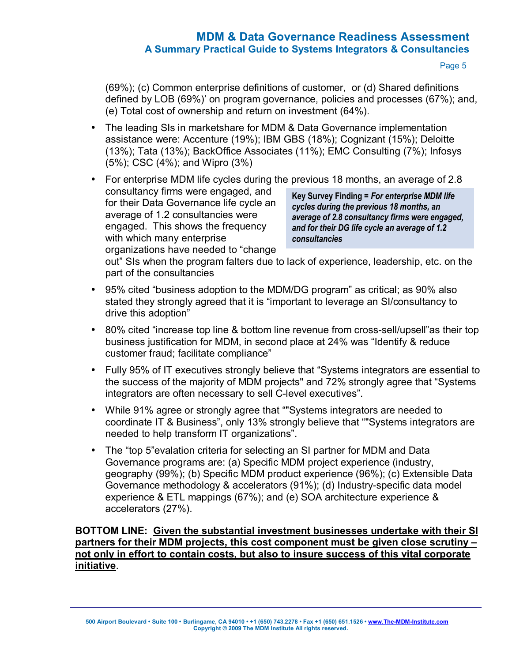Page 5

(69%); (c) Common enterprise definitions of customer, or (d) Shared definitions defined by LOB (69%)' on program governance, policies and processes (67%); and, (e) Total cost of ownership and return on investment (64%).

- The leading SIs in marketshare for MDM & Data Governance implementation assistance were: Accenture (19%); IBM GBS (18%); Cognizant (15%); Deloitte (13%); Tata (13%); BackOffice Associates (11%); EMC Consulting (7%); Infosys (5%); CSC (4%); and Wipro (3%)
- For enterprise MDM life cycles during the previous 18 months, an average of 2.8 consultancy firms were engaged, and for their Data Governance life cycle an average of 1.2 consultancies were engaged. This shows the frequency with which many enterprise organizations have needed to "change"

**Key Survey Finding =** *For enterprise MDM life cycles during the previous 18 months, an average of 2.8 consultancy firms were engaged, and for their DG life cycle an average of 1.2 consultancies* 

out" SIs when the program falters due to lack of experience, leadership, etc. on the part of the consultancies

- $\bullet$  95% cited "business adoption to the MDM/DG program" as critical; as 90% also stated they strongly agreed that it is "important to leverage an SI/consultancy to drive this adoption"
- 80% cited "increase top line & bottom line revenue from cross-sell/upsell" as their top business justification for MDM, in second place at 24% was "Identify & reduce customer fraud; facilitate compliance"
- Fully 95% of IT executives strongly believe that "Systems integrators are essential to the success of the majority of MDM projects" and 72% strongly agree that "Systems" integrators are often necessary to sell C-level executives".
- While 91% agree or strongly agree that ""Systems integrators are needed to coordinate IT & Business", only 13% strongly believe that "Systems integrators are needed to help transform IT organizations".
- The "top 5" evalation criteria for selecting an SI partner for MDM and Data Governance programs are: (a) Specific MDM project experience (industry, geography (99%); (b) Specific MDM product experience (96%); (c) Extensible Data Governance methodology & accelerators (91%); (d) Industry-specific data model experience & ETL mappings (67%); and (e) SOA architecture experience & accelerators (27%).

**BOTTOM LINE: Given the substantial investment businesses undertake with their SI**  partners for their MDM projects, this cost component must be given close scrutiny **not only in effort to contain costs, but also to insure success of this vital corporate initiative**.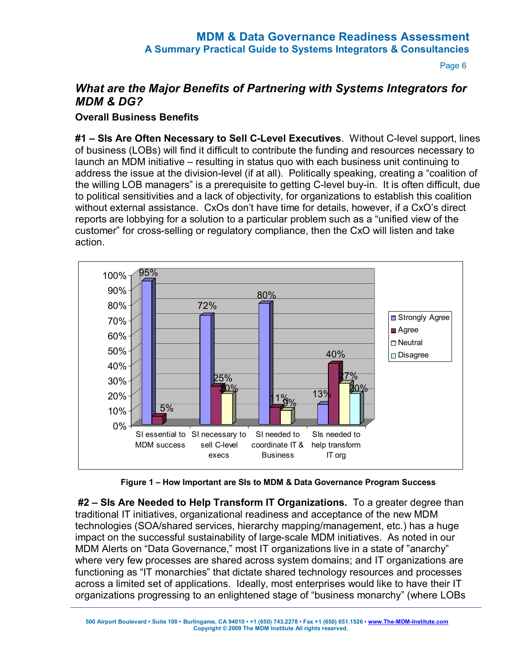Page 6

## *What are the Major Benefits of Partnering with Systems Integrators for MDM & DG?*

#### **Overall Business Benefits**

#1 - SIs Are Often Necessary to Sell C-Level Executives. Without C-level support, lines of business (LOBs) will find it difficult to contribute the funding and resources necessary to launch an MDM initiative – resulting in status quo with each business unit continuing to address the issue at the division-level (if at all). Politically speaking, creating a "coalition of the willing LOB managers" is a prerequisite to getting C-level buy-in. It is often difficult, due to political sensitivities and a lack of objectivity, for organizations to establish this coalition without external assistance. CxOs don't have time for details, however, if a CxO's direct reports are lobbying for a solution to a particular problem such as a "unified view of the customer" for cross-selling or regulatory compliance, then the CxO will listen and take action.



Figure 1 - How Important are SIs to MDM & Data Governance Program Success

**#2 – SIs Are Needed to Help Transform IT Organizations.** To a greater degree than traditional IT initiatives, organizational readiness and acceptance of the new MDM technologies (SOA/shared services, hierarchy mapping/management, etc.) has a huge impact on the successful sustainability of large-scale MDM initiatives. As noted in our MDM Alerts on "Data Governance," most IT organizations live in a state of "anarchy" where very few processes are shared across system domains; and IT organizations are functioning as "IT monarchies" that dictate shared technology resources and processes across a limited set of applications. Ideally, most enterprises would like to have their IT organizations progressing to an enlightened stage of "business monarchy" (where LOBs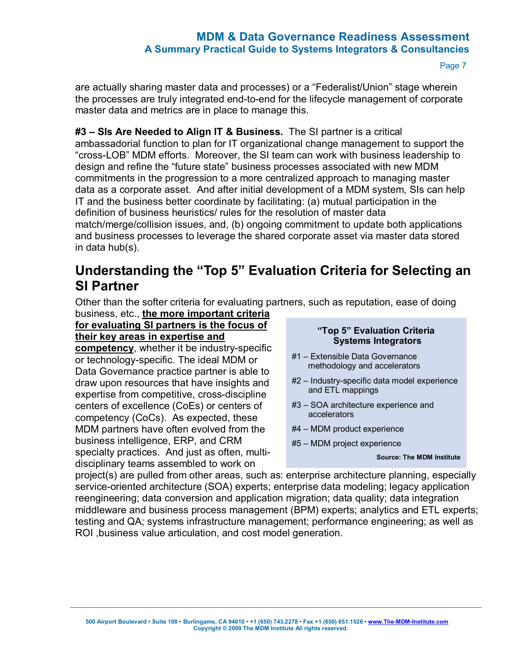Page 7

are actually sharing master data and processes) or a "Federalist/Union" stage wherein the processes are truly integrated end-to-end for the lifecycle management of corporate master data and metrics are in place to manage this.

**#3 – SIs Are Needed to Align IT & Business.** The SI partner is a critical ambassadorial function to plan for IT organizational change management to support the ìcross-LOBî MDM efforts. Moreover, the SI team can work with business leadership to design and refine the "future state" business processes associated with new MDM commitments in the progression to a more centralized approach to managing master data as a corporate asset. And after initial development of a MDM system, SIs can help IT and the business better coordinate by facilitating: (a) mutual participation in the definition of business heuristics/ rules for the resolution of master data match/merge/collision issues, and, (b) ongoing commitment to update both applications and business processes to leverage the shared corporate asset via master data stored in data hub(s).

# **Understanding the "Top 5" Evaluation Criteria for Selecting an SI Partner**

Other than the softer criteria for evaluating partners, such as reputation, ease of doing

#### business, etc., **the more important criteria for evaluating SI partners is the focus of their key areas in expertise and**

**competency**, whether it be industry-specific or technology-specific. The ideal MDM or Data Governance practice partner is able to draw upon resources that have insights and expertise from competitive, cross-discipline centers of excellence (CoEs) or centers of competency (CoCs). As expected, these MDM partners have often evolved from the business intelligence, ERP, and CRM specialty practices. And just as often, multidisciplinary teams assembled to work on

#### **ìTop 5î Evaluation Criteria Systems Integrators**

- #1 Extensible Data Governance methodology and accelerators
- #2 Industry-specific data model experience and ETL mappings
- #3 SOA architecture experience and accelerators
- $#4$  MDM product experience
- $#5 MDM$  project experience

#### **Source: The MDM Institute**

project(s) are pulled from other areas, such as: enterprise architecture planning, especially service-oriented architecture (SOA) experts; enterprise data modeling; legacy application reengineering; data conversion and application migration; data quality; data integration middleware and business process management (BPM) experts; analytics and ETL experts; testing and QA; systems infrastructure management; performance engineering; as well as ROI ,business value articulation, and cost model generation.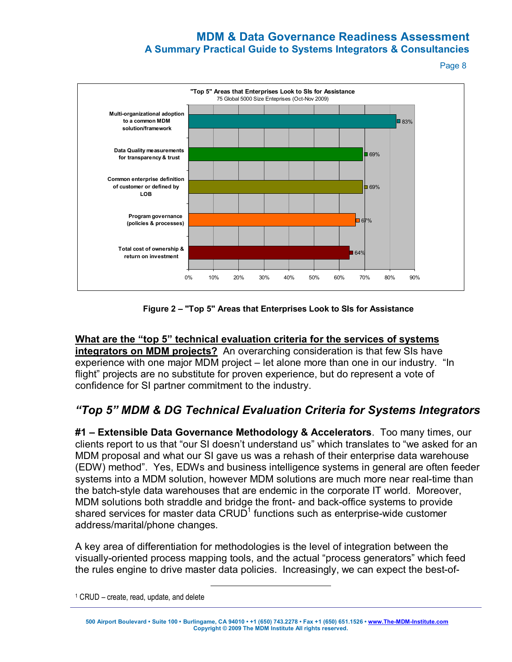Page 8



Figure 2 - "Top 5" Areas that Enterprises Look to SIs for Assistance

What are the "top 5" technical evaluation criteria for the services of systems **integrators on MDM projects?** An overarching consideration is that few SIs have experience with one major MDM project – let alone more than one in our industry. "In flight" projects are no substitute for proven experience, but do represent a vote of confidence for SI partner commitment to the industry.

# *ìTop 5î MDM & DG Technical Evaluation Criteria for Systems Integrators*

**#1 – Extensible Data Governance Methodology & Accelerators**. Too many times, our clients report to us that "our SI doesn't understand us" which translates to "we asked for an MDM proposal and what our SI gave us was a rehash of their enterprise data warehouse (EDW) methodî. Yes, EDWs and business intelligence systems in general are often feeder systems into a MDM solution, however MDM solutions are much more near real-time than the batch-style data warehouses that are endemic in the corporate IT world. Moreover, MDM solutions both straddle and bridge the front- and back-office systems to provide shared services for master data CRUD<sup>1</sup> functions such as enterprise-wide customer address/marital/phone changes.

A key area of differentiation for methodologies is the level of integration between the visually-oriented process mapping tools, and the actual "process generators" which feed the rules engine to drive master data policies. Increasingly, we can expect the best-of-

500 Airport Boulevard · Suite 100 · Burlingame, CA 94010 · +1 (650) 743.2278 · Fax +1 (650) 651.1526 · www.The-MDM-Institute.com **Copyright © 2009 The MDM Institute All rights reserved.** 

 $1$  CRUD – create, read, update, and delete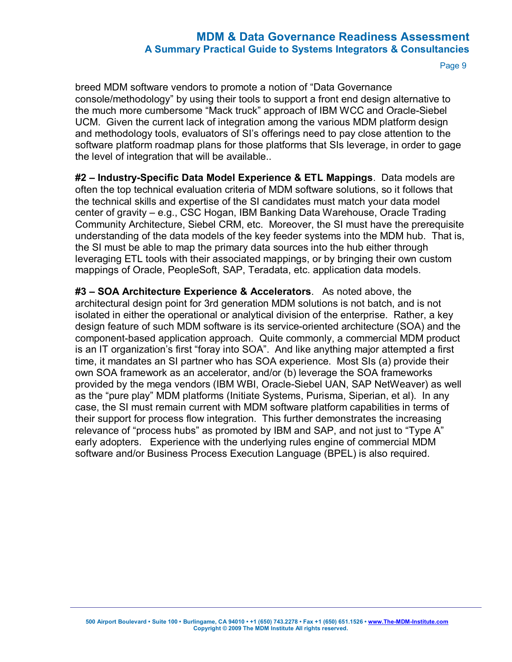Page 9

breed MDM software vendors to promote a notion of "Data Governance" console/methodologyî by using their tools to support a front end design alternative to the much more cumbersome "Mack truck" approach of IBM WCC and Oracle-Siebel UCM. Given the current lack of integration among the various MDM platform design and methodology tools, evaluators of SI's offerings need to pay close attention to the software platform roadmap plans for those platforms that SIs leverage, in order to gage the level of integration that will be available..

#2 – Industry-Specific Data Model Experience & ETL Mappings. Data models are often the top technical evaluation criteria of MDM software solutions, so it follows that the technical skills and expertise of the SI candidates must match your data model center of gravity – e.g., CSC Hogan, IBM Banking Data Warehouse, Oracle Trading Community Architecture, Siebel CRM, etc. Moreover, the SI must have the prerequisite understanding of the data models of the key feeder systems into the MDM hub. That is, the SI must be able to map the primary data sources into the hub either through leveraging ETL tools with their associated mappings, or by bringing their own custom mappings of Oracle, PeopleSoft, SAP, Teradata, etc. application data models.

**#3 ñ SOA Architecture Experience & Accelerators**. As noted above, the architectural design point for 3rd generation MDM solutions is not batch, and is not isolated in either the operational or analytical division of the enterprise. Rather, a key design feature of such MDM software is its service-oriented architecture (SOA) and the component-based application approach. Quite commonly, a commercial MDM product is an IT organization's first "foray into SOA". And like anything major attempted a first time, it mandates an SI partner who has SOA experience. Most SIs (a) provide their own SOA framework as an accelerator, and/or (b) leverage the SOA frameworks provided by the mega vendors (IBM WBI, Oracle-Siebel UAN, SAP NetWeaver) as well as the "pure play" MDM platforms (Initiate Systems, Purisma, Siperian, et al). In any case, the SI must remain current with MDM software platform capabilities in terms of their support for process flow integration. This further demonstrates the increasing relevance of "process hubs" as promoted by IBM and SAP, and not just to "Type A" early adopters. Experience with the underlying rules engine of commercial MDM software and/or Business Process Execution Language (BPEL) is also required.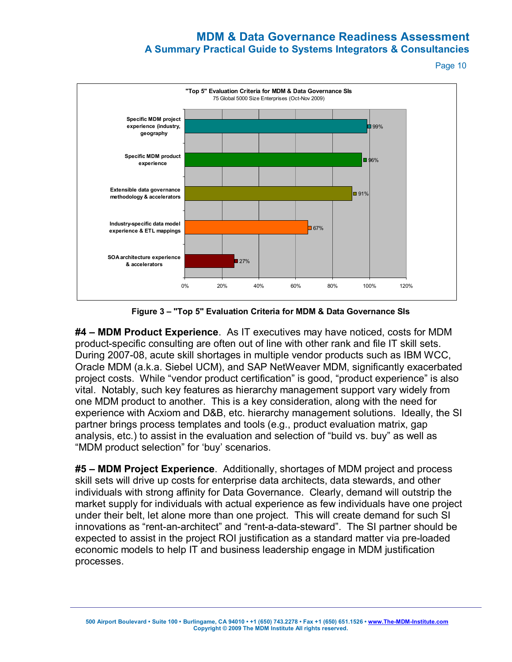Page 10



**Figure 3 ñ "Top 5" Evaluation Criteria for MDM & Data Governance SIs** 

**#4 – MDM Product Experience**. As IT executives may have noticed, costs for MDM product-specific consulting are often out of line with other rank and file IT skill sets. During 2007-08, acute skill shortages in multiple vendor products such as IBM WCC, Oracle MDM (a.k.a. Siebel UCM), and SAP NetWeaver MDM, significantly exacerbated project costs. While "vendor product certification" is good, "product experience" is also vital. Notably, such key features as hierarchy management support vary widely from one MDM product to another. This is a key consideration, along with the need for experience with Acxiom and D&B, etc. hierarchy management solutions. Ideally, the SI partner brings process templates and tools (e.g., product evaluation matrix, gap analysis, etc.) to assist in the evaluation and selection of "build vs. buy" as well as "MDM product selection" for 'buy' scenarios.

#5 – MDM Project Experience. Additionally, shortages of MDM project and process skill sets will drive up costs for enterprise data architects, data stewards, and other individuals with strong affinity for Data Governance. Clearly, demand will outstrip the market supply for individuals with actual experience as few individuals have one project under their belt, let alone more than one project. This will create demand for such SI innovations as "rent-an-architect" and "rent-a-data-steward". The SI partner should be expected to assist in the project ROI justification as a standard matter via pre-loaded economic models to help IT and business leadership engage in MDM justification processes.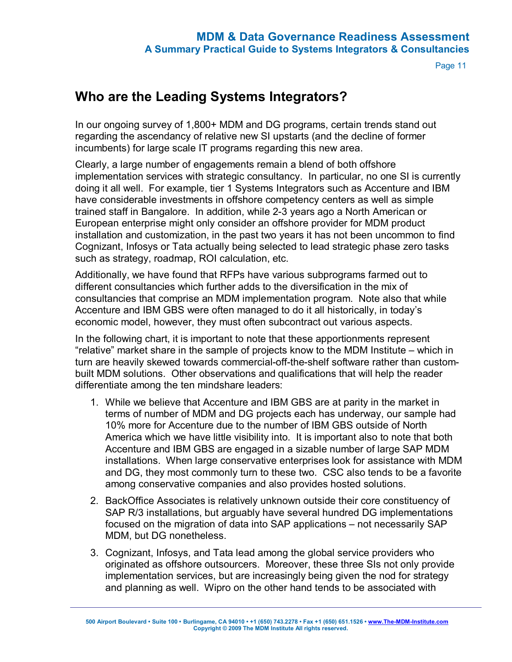Page 11

## **Who are the Leading Systems Integrators?**

In our ongoing survey of 1,800+ MDM and DG programs, certain trends stand out regarding the ascendancy of relative new SI upstarts (and the decline of former incumbents) for large scale IT programs regarding this new area.

Clearly, a large number of engagements remain a blend of both offshore implementation services with strategic consultancy. In particular, no one SI is currently doing it all well. For example, tier 1 Systems Integrators such as Accenture and IBM have considerable investments in offshore competency centers as well as simple trained staff in Bangalore. In addition, while 2-3 years ago a North American or European enterprise might only consider an offshore provider for MDM product installation and customization, in the past two years it has not been uncommon to find Cognizant, Infosys or Tata actually being selected to lead strategic phase zero tasks such as strategy, roadmap, ROI calculation, etc.

Additionally, we have found that RFPs have various subprograms farmed out to different consultancies which further adds to the diversification in the mix of consultancies that comprise an MDM implementation program. Note also that while Accenture and IBM GBS were often managed to do it all historically, in todayís economic model, however, they must often subcontract out various aspects.

In the following chart, it is important to note that these apportionments represent "relative" market share in the sample of projects know to the MDM Institute  $-$  which in turn are heavily skewed towards commercial-off-the-shelf software rather than custombuilt MDM solutions. Other observations and qualifications that will help the reader differentiate among the ten mindshare leaders:

- 1. While we believe that Accenture and IBM GBS are at parity in the market in terms of number of MDM and DG projects each has underway, our sample had 10% more for Accenture due to the number of IBM GBS outside of North America which we have little visibility into. It is important also to note that both Accenture and IBM GBS are engaged in a sizable number of large SAP MDM installations. When large conservative enterprises look for assistance with MDM and DG, they most commonly turn to these two. CSC also tends to be a favorite among conservative companies and also provides hosted solutions.
- 2. BackOffice Associates is relatively unknown outside their core constituency of SAP R/3 installations, but arguably have several hundred DG implementations focused on the migration of data into SAP applications – not necessarily SAP MDM, but DG nonetheless.
- 3. Cognizant, Infosys, and Tata lead among the global service providers who originated as offshore outsourcers. Moreover, these three SIs not only provide implementation services, but are increasingly being given the nod for strategy and planning as well. Wipro on the other hand tends to be associated with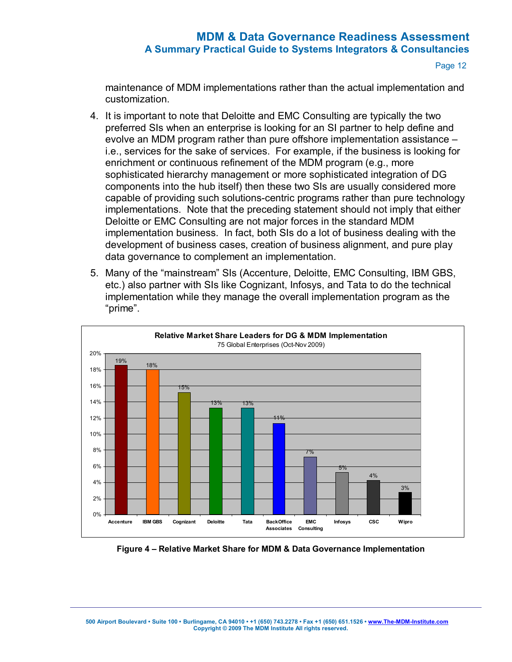Page 12

maintenance of MDM implementations rather than the actual implementation and customization.

- 4. It is important to note that Deloitte and EMC Consulting are typically the two preferred SIs when an enterprise is looking for an SI partner to help define and evolve an MDM program rather than pure offshore implementation assistance – i.e., services for the sake of services. For example, if the business is looking for enrichment or continuous refinement of the MDM program (e.g., more sophisticated hierarchy management or more sophisticated integration of DG components into the hub itself) then these two SIs are usually considered more capable of providing such solutions-centric programs rather than pure technology implementations. Note that the preceding statement should not imply that either Deloitte or EMC Consulting are not major forces in the standard MDM implementation business. In fact, both SIs do a lot of business dealing with the development of business cases, creation of business alignment, and pure play data governance to complement an implementation.
- 5. Many of the "mainstream" SIs (Accenture, Deloitte, EMC Consulting, IBM GBS, etc.) also partner with SIs like Cognizant, Infosys, and Tata to do the technical implementation while they manage the overall implementation program as the "prime".



**Figure 4 – Relative Market Share for MDM & Data Governance Implementation**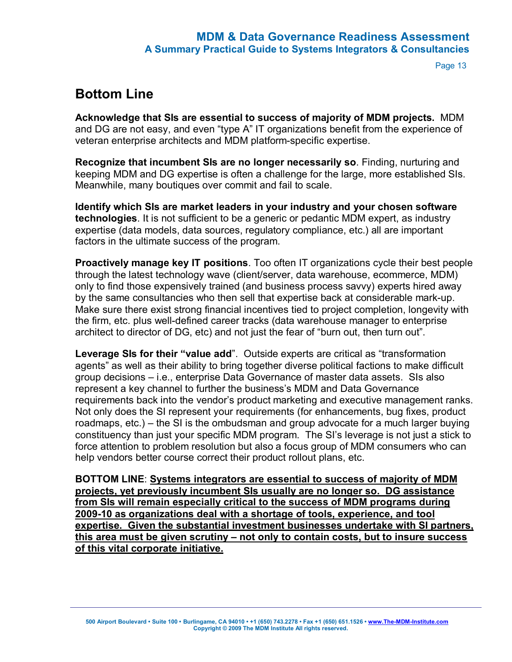Page 13

# **Bottom Line**

**Acknowledge that SIs are essential to success of majority of MDM projects.** MDM and DG are not easy, and even "type A" IT organizations benefit from the experience of veteran enterprise architects and MDM platform-specific expertise.

**Recognize that incumbent SIs are no longer necessarily so**. Finding, nurturing and keeping MDM and DG expertise is often a challenge for the large, more established SIs. Meanwhile, many boutiques over commit and fail to scale.

**Identify which SIs are market leaders in your industry and your chosen software technologies**. It is not sufficient to be a generic or pedantic MDM expert, as industry expertise (data models, data sources, regulatory compliance, etc.) all are important factors in the ultimate success of the program.

**Proactively manage key IT positions**. Too often IT organizations cycle their best people through the latest technology wave (client/server, data warehouse, ecommerce, MDM) only to find those expensively trained (and business process savvy) experts hired away by the same consultancies who then sell that expertise back at considerable mark-up. Make sure there exist strong financial incentives tied to project completion, longevity with the firm, etc. plus well-defined career tracks (data warehouse manager to enterprise architect to director of DG, etc) and not just the fear of "burn out, then turn out".

**Leverage SIs for their "value add**". Outside experts are critical as "transformation agents" as well as their ability to bring together diverse political factions to make difficult group decisions – i.e., enterprise Data Governance of master data assets. SIs also represent a key channel to further the business's MDM and Data Governance requirements back into the vendor's product marketing and executive management ranks. Not only does the SI represent your requirements (for enhancements, bug fixes, product roadmaps,  $etc.$ ) – the SI is the ombudsman and group advocate for a much larger buying constituency than just your specific MDM program. The SIís leverage is not just a stick to force attention to problem resolution but also a focus group of MDM consumers who can help vendors better course correct their product rollout plans, etc.

**BOTTOM LINE**: **Systems integrators are essential to success of majority of MDM projects, yet previously incumbent SIs usually are no longer so. DG assistance from SIs will remain especially critical to the success of MDM programs during 2009-10 as organizations deal with a shortage of tools, experience, and tool expertise. Given the substantial investment businesses undertake with SI partners,**  this area must be given scrutiny – not only to contain costs, but to insure success **of this vital corporate initiative.**